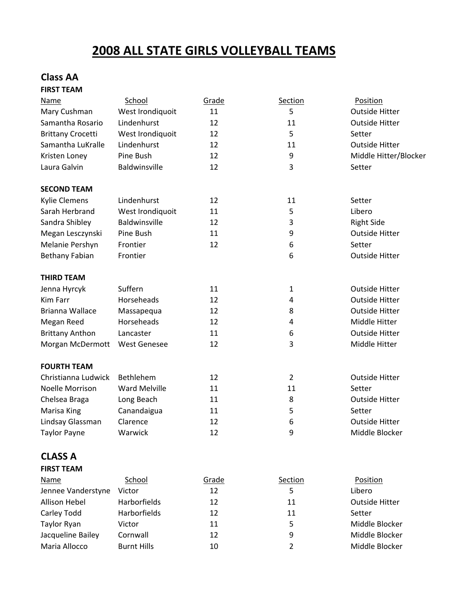## **2008 ALL STATE GIRLS VOLLEYBALL TEAMS**

#### **Class AA FIRST TEAM**

| Name                      | School               | Grade | Section | Position              |
|---------------------------|----------------------|-------|---------|-----------------------|
| Mary Cushman              | West Irondiquoit     | 11    | 5       | <b>Outside Hitter</b> |
| Samantha Rosario          | Lindenhurst          | 12    | 11      | <b>Outside Hitter</b> |
| <b>Brittany Crocetti</b>  | West Irondiquoit     | 12    | 5       | Setter                |
| Samantha LuKralle         | Lindenhurst          | 12    | 11      | <b>Outside Hitter</b> |
| Kristen Loney             | Pine Bush            | 12    | 9       | Middle Hitter/Blocker |
| Laura Galvin              | Baldwinsville        | 12    | 3       | Setter                |
| <b>SECOND TEAM</b>        |                      |       |         |                       |
| <b>Kylie Clemens</b>      | Lindenhurst          | 12    | 11      | Setter                |
| Sarah Herbrand            | West Irondiquoit     | 11    | 5       | Libero                |
| Sandra Shibley            | Baldwinsville        | 12    | 3       | <b>Right Side</b>     |
| Megan Lesczynski          | Pine Bush            | 11    | 9       | <b>Outside Hitter</b> |
| Melanie Pershyn           | Frontier             | 12    | 6       | Setter                |
| <b>Bethany Fabian</b>     | Frontier             |       | 6       | <b>Outside Hitter</b> |
| <b>THIRD TEAM</b>         |                      |       |         |                       |
| Jenna Hyrcyk              | Suffern              | 11    | 1       | <b>Outside Hitter</b> |
| <b>Kim Farr</b>           | Horseheads           | 12    | 4       | <b>Outside Hitter</b> |
| Brianna Wallace           | Massapequa           | 12    | 8       | <b>Outside Hitter</b> |
| Megan Reed                | Horseheads           | 12    | 4       | Middle Hitter         |
| <b>Brittany Anthon</b>    | Lancaster            | 11    | 6       | <b>Outside Hitter</b> |
| Morgan McDermott          | <b>West Genesee</b>  | 12    | 3       | Middle Hitter         |
| <b>FOURTH TEAM</b>        |                      |       |         |                       |
| Christianna Ludwick       | <b>Bethlehem</b>     | 12    | 2       | <b>Outside Hitter</b> |
| <b>Noelle Morrison</b>    | <b>Ward Melville</b> | 11    | 11      | Setter                |
| Chelsea Braga             | Long Beach           | 11    | 8       | <b>Outside Hitter</b> |
| Marisa King               | Canandaigua          | 11    | 5       | Setter                |
| Lindsay Glassman          | Clarence             | 12    | 6       | <b>Outside Hitter</b> |
| <b>Taylor Payne</b>       | Warwick              | 12    | 9       | Middle Blocker        |
| <b>CLASS A</b>            |                      |       |         |                       |
| <b>FIRST TEAM</b>         |                      |       |         |                       |
| <b>Name</b>               | School               | Grade | Section | Position              |
| Jennee Vanderstyne Victor |                      | 12    | 5       | Lihero                |

| Jennee Vanderstyne | Victor              | 12 |    | Libero                |
|--------------------|---------------------|----|----|-----------------------|
| Allison Hebel      | <b>Harborfields</b> | 12 | 11 | <b>Outside Hitter</b> |
| Carley Todd        | <b>Harborfields</b> | 12 | 11 | Setter                |
| Taylor Ryan        | Victor              | 11 | 5  | Middle Blocker        |
| Jacqueline Bailey  | Cornwall            | 12 | 9  | Middle Blocker        |
| Maria Allocco      | <b>Burnt Hills</b>  | 10 |    | Middle Blocker        |
|                    |                     |    |    |                       |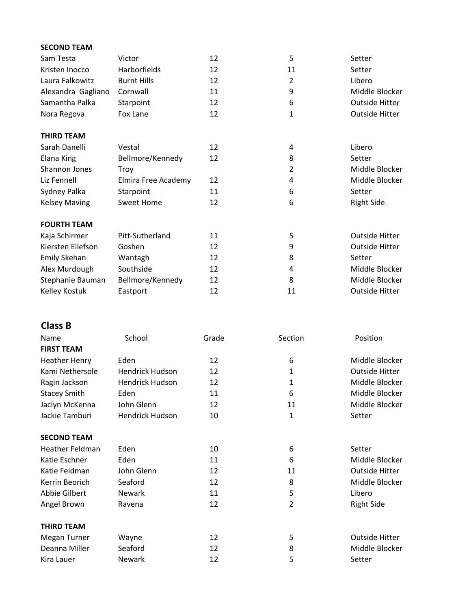| <b>SECOND TEAM</b>   |                     |    |                |                       |
|----------------------|---------------------|----|----------------|-----------------------|
| Sam Testa            | Victor              | 12 | 5              | Setter                |
| Kristen Inocco       | <b>Harborfields</b> | 12 | 11             | Setter                |
| Laura Falkowitz      | <b>Burnt Hills</b>  | 12 | 2              | Libero                |
| Alexandra Gagliano   | Cornwall            | 11 | 9              | Middle Blocker        |
| Samantha Palka       | Starpoint           | 12 | 6              | <b>Outside Hitter</b> |
| Nora Regova          | Fox Lane            | 12 | 1              | <b>Outside Hitter</b> |
| <b>THIRD TEAM</b>    |                     |    |                |                       |
| Sarah Danelli        | Vestal              | 12 | 4              | Libero                |
| Elana King           | Bellmore/Kennedy    | 12 | 8              | Setter                |
| Shannon Jones        | Troy                |    | $\overline{2}$ | Middle Blocker        |
| Liz Fennell          | Elmira Free Academy | 12 | 4              | Middle Blocker        |
| Sydney Palka         | Starpoint           | 11 | 6              | Setter                |
| <b>Kelsey Maving</b> | <b>Sweet Home</b>   | 12 | 6              | <b>Right Side</b>     |
| <b>FOURTH TEAM</b>   |                     |    |                |                       |
| Kaja Schirmer        | Pitt-Sutherland     | 11 | 5              | <b>Outside Hitter</b> |
| Kiersten Ellefson    | Goshen              | 12 | 9              | <b>Outside Hitter</b> |
| Emily Skehan         | Wantagh             | 12 | 8              | Setter                |
| Alex Murdough        | Southside           | 12 | 4              | Middle Blocker        |
| Stephanie Bauman     | Bellmore/Kennedy    | 12 | 8              | Middle Blocker        |
| Kelley Kostuk        | Eastport            | 12 | 11             | <b>Outside Hitter</b> |

#### **Class B**

| <b>Name</b>          | School                 | Grade | <b>Section</b> | Position              |
|----------------------|------------------------|-------|----------------|-----------------------|
| <b>FIRST TEAM</b>    |                        |       |                |                       |
| <b>Heather Henry</b> | Eden                   | 12    | 6              | Middle Blocker        |
| Kami Nethersole      | <b>Hendrick Hudson</b> | 12    | 1              | <b>Outside Hitter</b> |
| Ragin Jackson        | <b>Hendrick Hudson</b> | 12    | 1              | Middle Blocker        |
| <b>Stacey Smith</b>  | Eden                   | 11    | 6              | Middle Blocker        |
| Jaclyn McKenna       | John Glenn             | 12    | 11             | Middle Blocker        |
| Jackie Tamburi       | <b>Hendrick Hudson</b> | 10    | 1              | Setter                |
| <b>SECOND TEAM</b>   |                        |       |                |                       |
| Heather Feldman      | Eden                   | 10    | 6              | Setter                |
| Katie Eschner        | Eden                   | 11    | 6              | Middle Blocker        |
| Katie Feldman        | John Glenn             | 12    | 11             | <b>Outside Hitter</b> |
| Kerrin Beorich       | Seaford                | 12    | 8              | Middle Blocker        |
| Abbie Gilbert        | <b>Newark</b>          | 11    | 5              | Libero                |
| Angel Brown          | Ravena                 | 12    | 2              | <b>Right Side</b>     |
| <b>THIRD TEAM</b>    |                        |       |                |                       |
| Megan Turner         | Wayne                  | 12    | 5              | <b>Outside Hitter</b> |
| Deanna Miller        | Seaford                | 12    | 8              | Middle Blocker        |
| Kira Lauer           | Newark                 | 12    | 5              | Setter                |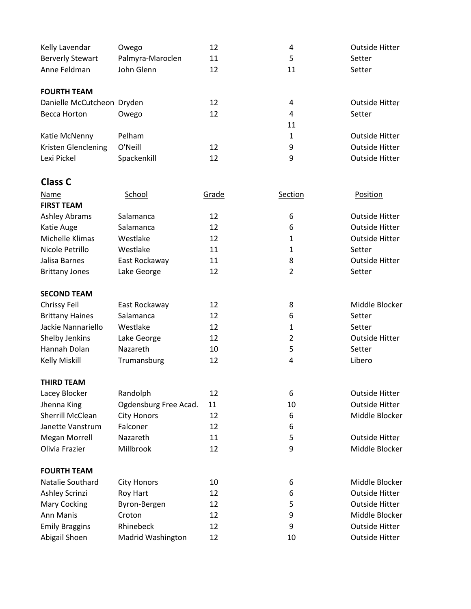| Kelly Lavendar             | Owego            | 12 | 4  | <b>Outside Hitter</b> |
|----------------------------|------------------|----|----|-----------------------|
| <b>Berverly Stewart</b>    | Palmyra-Maroclen | 11 | 5  | Setter                |
| Anne Feldman               | John Glenn       | 12 | 11 | Setter                |
|                            |                  |    |    |                       |
| <b>FOURTH TEAM</b>         |                  |    |    |                       |
| Danielle McCutcheon Dryden |                  | 12 | 4  | Outside Hitter        |
| Becca Horton               | Owego            | 12 | 4  | Setter                |
|                            |                  |    | 11 |                       |
| Katie McNenny              | Pelham           |    | 1  | <b>Outside Hitter</b> |
| Kristen Glenclening        | O'Neill          | 12 | 9  | <b>Outside Hitter</b> |
| Lexi Pickel                | Spackenkill      | 12 | 9  | <b>Outside Hitter</b> |
|                            |                  |    |    |                       |

# **Class C**

| Name                    | School                | Grade | <b>Section</b> | Position              |
|-------------------------|-----------------------|-------|----------------|-----------------------|
| <b>FIRST TEAM</b>       |                       |       |                |                       |
| <b>Ashley Abrams</b>    | Salamanca             | 12    | 6              | <b>Outside Hitter</b> |
| Katie Auge              | Salamanca             | 12    | 6              | <b>Outside Hitter</b> |
| Michelle Klimas         | Westlake              | 12    | $\mathbf{1}$   | <b>Outside Hitter</b> |
| Nicole Petrillo         | Westlake              | 11    | $\mathbf{1}$   | Setter                |
| Jalisa Barnes           | East Rockaway         | 11    | 8              | Outside Hitter        |
| <b>Brittany Jones</b>   | Lake George           | 12    | $\overline{2}$ | Setter                |
| <b>SECOND TEAM</b>      |                       |       |                |                       |
| Chrissy Feil            | East Rockaway         | 12    | 8              | Middle Blocker        |
| <b>Brittany Haines</b>  | Salamanca             | 12    | 6              | Setter                |
| Jackie Nannariello      | Westlake              | 12    | $\mathbf{1}$   | Setter                |
| Shelby Jenkins          | Lake George           | 12    | $\overline{2}$ | <b>Outside Hitter</b> |
| Hannah Dolan            | Nazareth              | 10    | 5              | Setter                |
| <b>Kelly Miskill</b>    | Trumansburg           | 12    | 4              | Libero                |
| <b>THIRD TEAM</b>       |                       |       |                |                       |
| Lacey Blocker           | Randolph              | 12    | 6              | <b>Outside Hitter</b> |
| Jhenna King             | Ogdensburg Free Acad. | 11    | 10             | Outside Hitter        |
| <b>Sherrill McClean</b> | <b>City Honors</b>    | 12    | 6              | Middle Blocker        |
| Janette Vanstrum        | Falconer              | 12    | 6              |                       |
| <b>Megan Morrell</b>    | Nazareth              | 11    | 5              | <b>Outside Hitter</b> |
| Olivia Frazier          | Millbrook             | 12    | 9              | Middle Blocker        |
| <b>FOURTH TEAM</b>      |                       |       |                |                       |
| Natalie Southard        | <b>City Honors</b>    | 10    | 6              | Middle Blocker        |
| Ashley Scrinzi          | Roy Hart              | 12    | 6              | <b>Outside Hitter</b> |
| <b>Mary Cocking</b>     | Byron-Bergen          | 12    | 5              | <b>Outside Hitter</b> |
| Ann Manis               | Croton                | 12    | 9              | Middle Blocker        |
| <b>Emily Braggins</b>   | Rhinebeck             | 12    | 9              | <b>Outside Hitter</b> |
| Abigail Shoen           | Madrid Washington     | 12    | 10             | <b>Outside Hitter</b> |